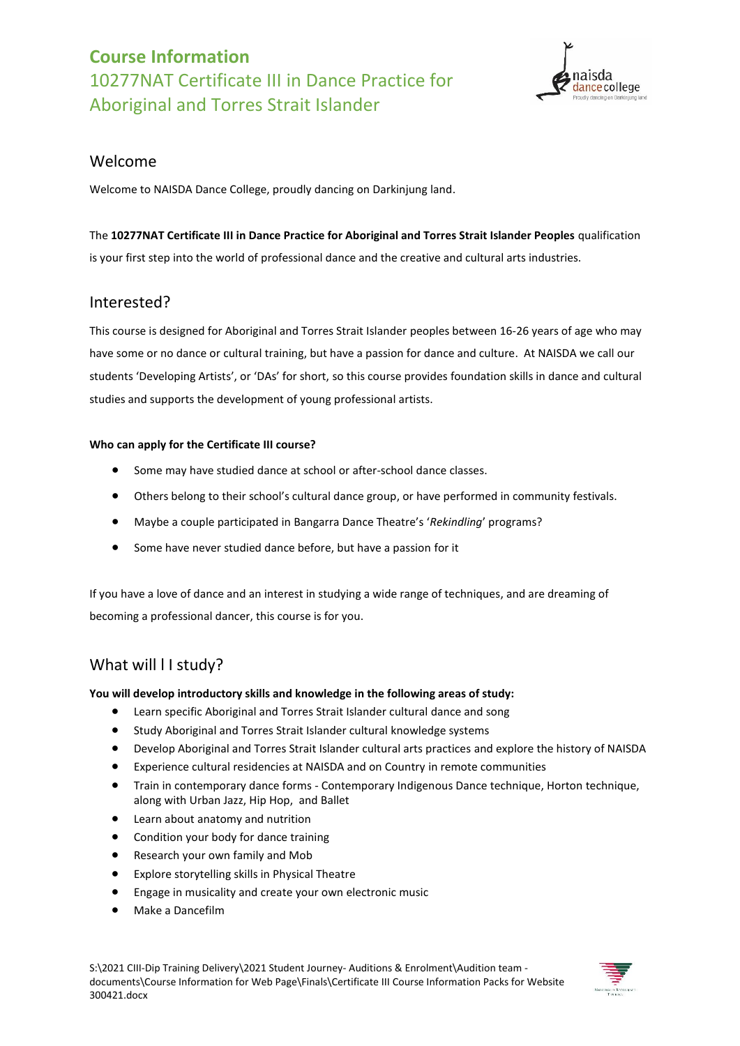

### Welcome

Welcome to NAISDA Dance College, proudly dancing on Darkinjung land.

The **10277NAT Certificate III in Dance Practice for Aboriginal and Torres Strait Islander Peoples** qualification is your first step into the world of professional dance and the creative and cultural arts industries.

## Interested?

This course is designed for Aboriginal and Torres Strait Islander peoples between 16-26 years of age who may have some or no dance or cultural training, but have a passion for dance and culture. At NAISDA we call our students 'Developing Artists', or 'DAs' for short, so this course provides foundation skills in dance and cultural studies and supports the development of young professional artists.

#### **Who can apply for the Certificate III course?**

- Some may have studied dance at school or after-school dance classes.
- Others belong to their school's cultural dance group, or have performed in community festivals.
- Maybe a couple participated in Bangarra Dance Theatre's '*Rekindling*' programs?
- Some have never studied dance before, but have a passion for it

If you have a love of dance and an interest in studying a wide range of techniques, and are dreaming of becoming a professional dancer, this course is for you.

## What will I I study?

#### **You will develop introductory skills and knowledge in the following areas of study:**

- Learn specific Aboriginal and Torres Strait Islander cultural dance and song
- Study Aboriginal and Torres Strait Islander cultural knowledge systems
- Develop Aboriginal and Torres Strait Islander cultural arts practices and explore the history of NAISDA
- Experience cultural residencies at NAISDA and on Country in remote communities
- Train in contemporary dance forms Contemporary Indigenous Dance technique, Horton technique, along with Urban Jazz, Hip Hop, and Ballet
- Learn about anatomy and nutrition
- Condition your body for dance training
- Research your own family and Mob
- Explore storytelling skills in Physical Theatre
- Engage in musicality and create your own electronic music
- Make a Dancefilm

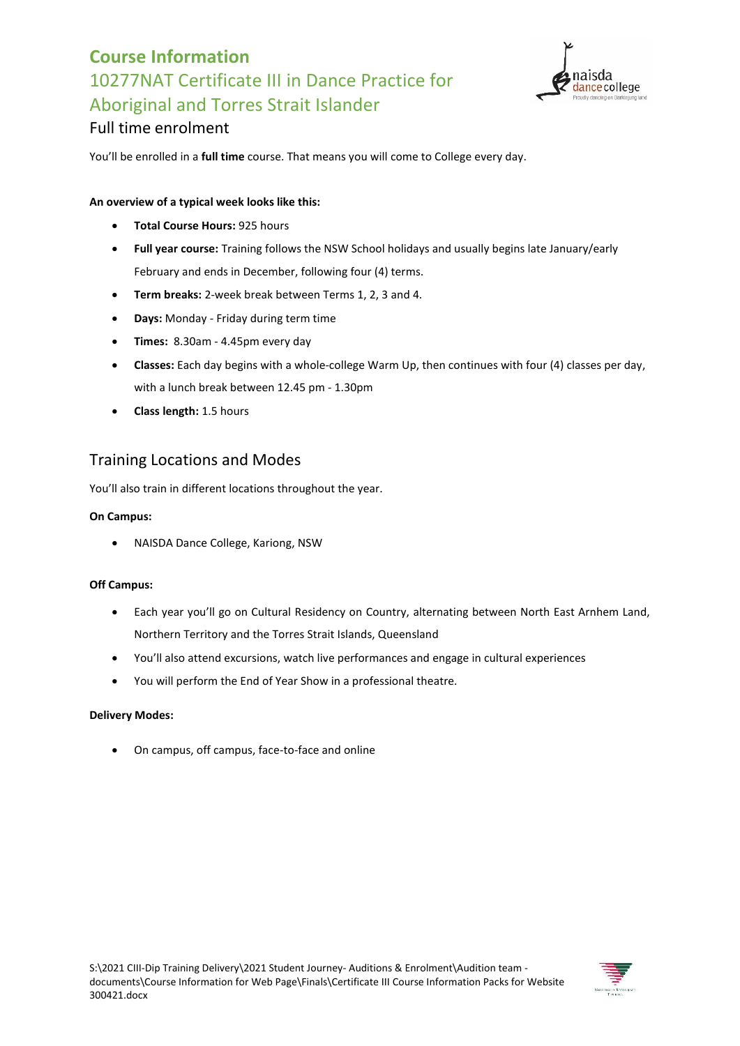

## Full time enrolment

You'll be enrolled in a **full time** course. That means you will come to College every day.

#### **An overview of a typical week looks like this:**

- **Total Course Hours:** 925 hours
- **Full year course:** Training follows the NSW School holidays and usually begins late January/early February and ends in December, following four (4) terms.
- **Term breaks:** 2-week break between Terms 1, 2, 3 and 4.
- **Days:** Monday Friday during term time
- **Times:** 8.30am 4.45pm every day
- **Classes:** Each day begins with a whole-college Warm Up, then continues with four (4) classes per day, with a lunch break between 12.45 pm - 1.30pm
- **Class length:** 1.5 hours

## Training Locations and Modes

You'll also train in different locations throughout the year.

#### **On Campus:**

NAISDA Dance College, Kariong, NSW

#### **Off Campus:**

- Each year you'll go on Cultural Residency on Country, alternating between North East Arnhem Land, Northern Territory and the Torres Strait Islands, Queensland
- You'll also attend excursions, watch live performances and engage in cultural experiences
- You will perform the End of Year Show in a professional theatre.

#### **Delivery Modes:**

On campus, off campus, face-to-face and online

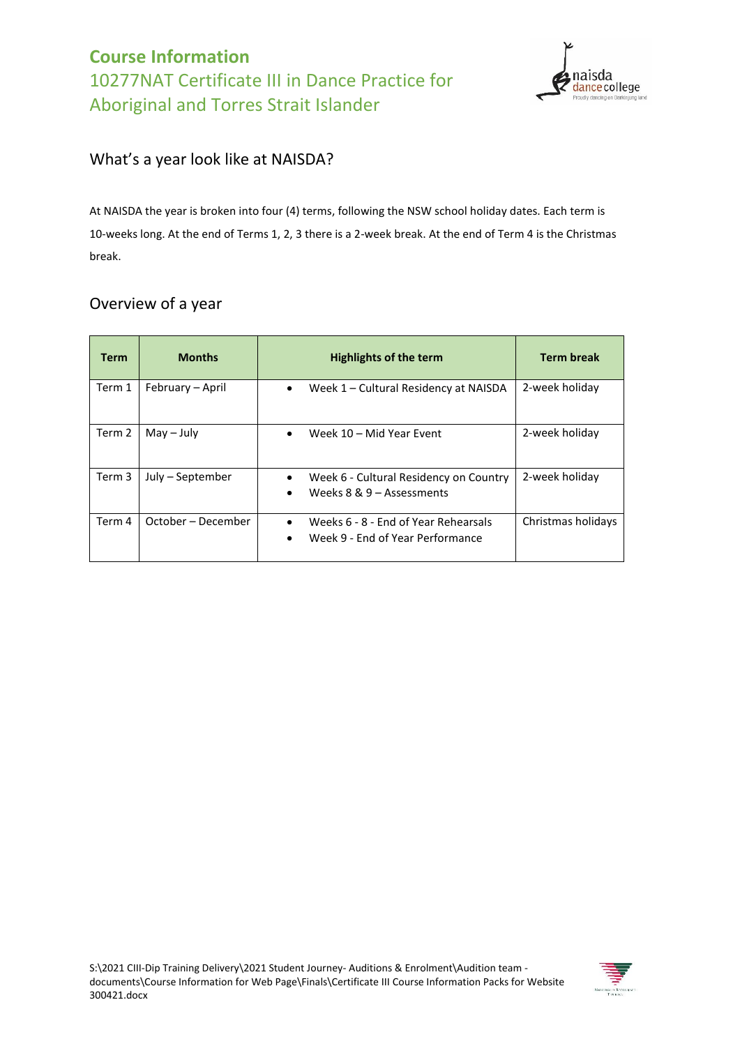

## What's a year look like at NAISDA?

At NAISDA the year is broken into four (4) terms, following the NSW school holiday dates. Each term is 10-weeks long. At the end of Terms 1, 2, 3 there is a 2-week break. At the end of Term 4 is the Christmas break.

## Overview of a year

| <b>Term</b> | <b>Months</b>      | <b>Highlights of the term</b>                                                         | <b>Term break</b>  |  |
|-------------|--------------------|---------------------------------------------------------------------------------------|--------------------|--|
| Term 1      | February – April   | Week 1 - Cultural Residency at NAISDA<br>$\bullet$                                    | 2-week holiday     |  |
| Term 2      | $May - July$       | Week 10 - Mid Year Event                                                              | 2-week holiday     |  |
| Term 3      | July – September   | Week 6 - Cultural Residency on Country<br>Weeks $8 & 9 -$ Assessments<br>$\bullet$    | 2-week holiday     |  |
| Term 4      | October – December | Weeks 6 - 8 - End of Year Rehearsals<br>$\bullet$<br>Week 9 - End of Year Performance | Christmas holidays |  |

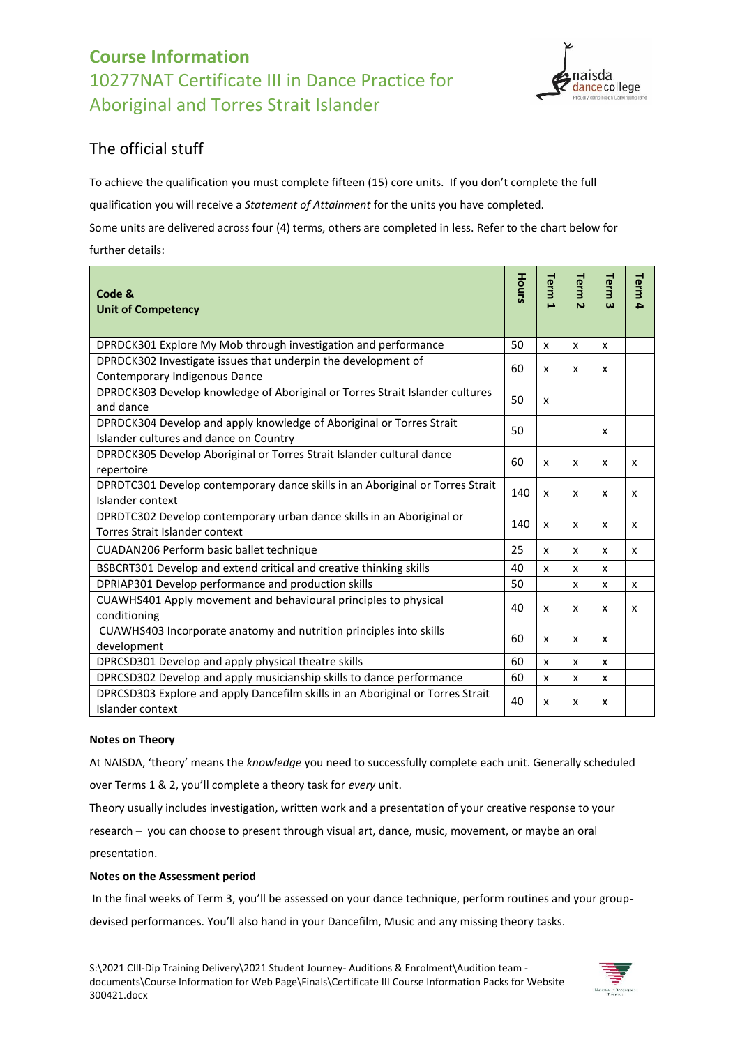

## The official stuff

To achieve the qualification you must complete fifteen (15) core units. If you don't complete the full qualification you will receive a *Statement of Attainment* for the units you have completed. Some units are delivered across four (4) terms, others are completed in less. Refer to the chart below for

further details:

| Code &<br><b>Unit of Competency</b>                                                                            | Hours | Term<br>А | Term<br>$\overline{v}$    | Term<br>ω | Term<br>4 |
|----------------------------------------------------------------------------------------------------------------|-------|-----------|---------------------------|-----------|-----------|
| DPRDCK301 Explore My Mob through investigation and performance                                                 | 50    | X         | X                         | X         |           |
| DPRDCK302 Investigate issues that underpin the development of<br>Contemporary Indigenous Dance                 |       |           | X                         | x         |           |
| DPRDCK303 Develop knowledge of Aboriginal or Torres Strait Islander cultures<br>and dance                      |       |           |                           |           |           |
| DPRDCK304 Develop and apply knowledge of Aboriginal or Torres Strait<br>Islander cultures and dance on Country | 50    |           |                           | X         |           |
| DPRDCK305 Develop Aboriginal or Torres Strait Islander cultural dance<br>repertoire                            |       |           | x                         | X         | x         |
| DPRDTC301 Develop contemporary dance skills in an Aboriginal or Torres Strait<br>Islander context              | 140   | X         | X                         | X         | X         |
| DPRDTC302 Develop contemporary urban dance skills in an Aboriginal or<br>Torres Strait Islander context        |       |           | x                         | x         | x         |
| CUADAN206 Perform basic ballet technique                                                                       |       |           | X                         | x         | X         |
| BSBCRT301 Develop and extend critical and creative thinking skills                                             |       |           | X                         | x         |           |
| DPRIAP301 Develop performance and production skills                                                            |       |           | $\boldsymbol{\mathsf{x}}$ | X         | X         |
| CUAWHS401 Apply movement and behavioural principles to physical<br>conditioning                                |       | x         | X                         | x         | X         |
| CUAWHS403 Incorporate anatomy and nutrition principles into skills<br>development                              |       | x         | x                         | x         |           |
| DPRCSD301 Develop and apply physical theatre skills                                                            |       |           | X                         | X         |           |
| DPRCSD302 Develop and apply musicianship skills to dance performance                                           |       |           | x                         | x         |           |
| DPRCSD303 Explore and apply Dancefilm skills in an Aboriginal or Torres Strait<br>Islander context             | 40    | X         | X                         | x         |           |

### **Notes on Theory**

At NAISDA, 'theory' means the *knowledge* you need to successfully complete each unit. Generally scheduled

over Terms 1 & 2, you'll complete a theory task for *every* unit.

Theory usually includes investigation, written work and a presentation of your creative response to your

research – you can choose to present through visual art, dance, music, movement, or maybe an oral presentation.

### **Notes on the Assessment period**

In the final weeks of Term 3, you'll be assessed on your dance technique, perform routines and your group-

devised performances. You'll also hand in your Dancefilm, Music and any missing theory tasks.

S:\2021 CIII-Dip Training Delivery\2021 Student Journey- Auditions & Enrolment\Audition team documents\Course Information for Web Page\Finals\Certificate III Course Information Packs for Website 300421.docx

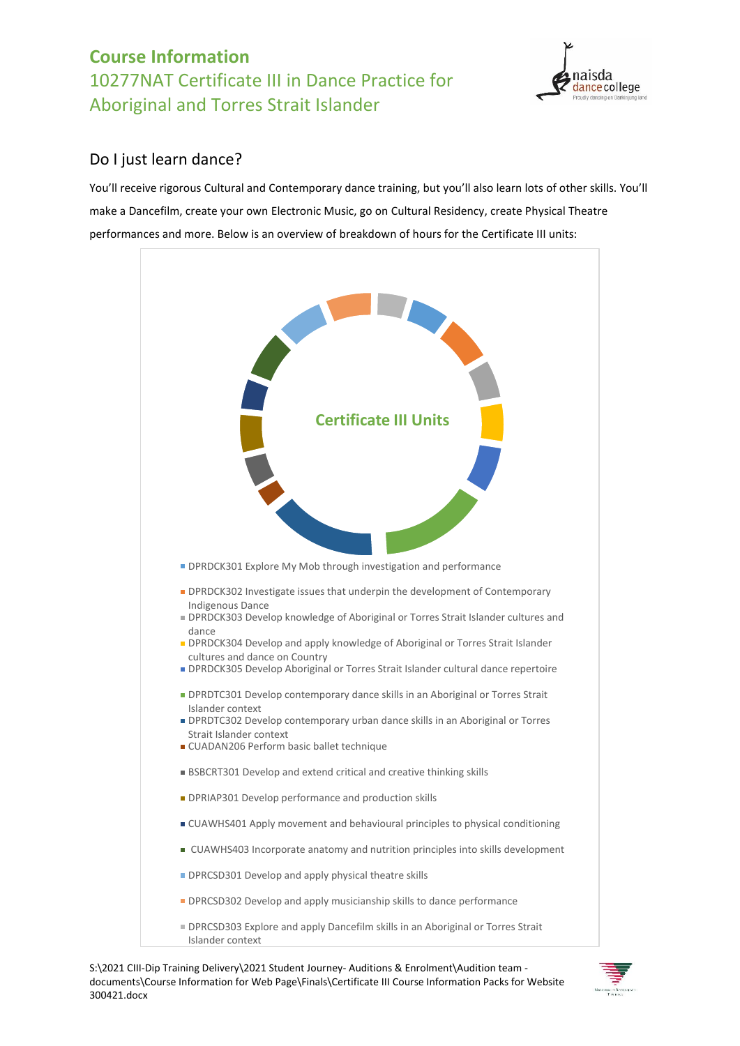

## Do I just learn dance?

You'll receive rigorous Cultural and Contemporary dance training, but you'll also learn lots of other skills. You'll make a Dancefilm, create your own Electronic Music, go on Cultural Residency, create Physical Theatre performances and more. Below is an overview of breakdown of hours for the Certificate III units:



S:\2021 CIII-Dip Training Delivery\2021 Student Journey- Auditions & Enrolment\Audition team documents\Course Information for Web Page\Finals\Certificate III Course Information Packs for Website 300421.docx